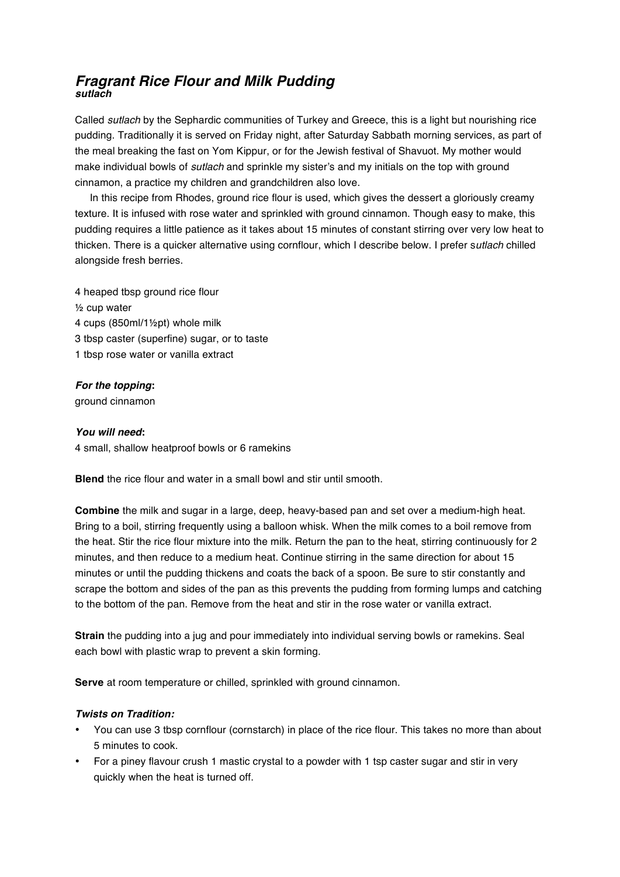## *Fragrant Rice Flour and Milk Pudding sutlach*

Called *sutlach* by the Sephardic communities of Turkey and Greece, this is a light but nourishing rice pudding. Traditionally it is served on Friday night, after Saturday Sabbath morning services, as part of the meal breaking the fast on Yom Kippur, or for the Jewish festival of Shavuot. My mother would make individual bowls of *sutlach* and sprinkle my sister's and my initials on the top with ground cinnamon, a practice my children and grandchildren also love.

In this recipe from Rhodes, ground rice flour is used, which gives the dessert a gloriously creamy texture. It is infused with rose water and sprinkled with ground cinnamon. Though easy to make, this pudding requires a little patience as it takes about 15 minutes of constant stirring over very low heat to thicken. There is a quicker alternative using cornflour, which I describe below. I prefer s*utlach* chilled alongside fresh berries.

4 heaped tbsp ground rice flour ½ cup water 4 cups (850ml/1½pt) whole milk 3 tbsp caster (superfine) sugar, or to taste 1 tbsp rose water or vanilla extract

## *For the topping***:**

ground cinnamon

*You will need***:**  4 small, shallow heatproof bowls or 6 ramekins

**Blend** the rice flour and water in a small bowl and stir until smooth.

**Combine** the milk and sugar in a large, deep, heavy-based pan and set over a medium-high heat. Bring to a boil, stirring frequently using a balloon whisk. When the milk comes to a boil remove from the heat. Stir the rice flour mixture into the milk. Return the pan to the heat, stirring continuously for 2 minutes, and then reduce to a medium heat. Continue stirring in the same direction for about 15 minutes or until the pudding thickens and coats the back of a spoon. Be sure to stir constantly and scrape the bottom and sides of the pan as this prevents the pudding from forming lumps and catching to the bottom of the pan. Remove from the heat and stir in the rose water or vanilla extract.

**Strain** the pudding into a jug and pour immediately into individual serving bowls or ramekins. Seal each bowl with plastic wrap to prevent a skin forming.

**Serve** at room temperature or chilled, sprinkled with ground cinnamon.

## *Twists on Tradition:*

- You can use 3 tbsp cornflour (cornstarch) in place of the rice flour. This takes no more than about 5 minutes to cook.
- For a piney flavour crush 1 mastic crystal to a powder with 1 tsp caster sugar and stir in very quickly when the heat is turned off.